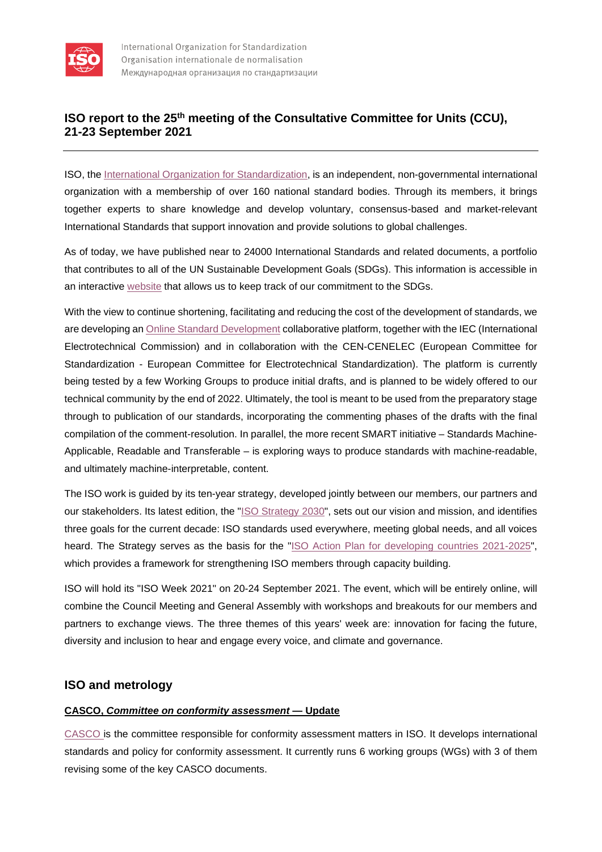

# **ISO report to the 25th meeting of the Consultative Committee for Units (CCU), 21-23 September 2021**

ISO, the [International Organization for Standardization,](https://www.iso.org/home.html) is an independent, non-governmental international organization with a membership of over 160 [national standard bodies.](https://www.iso.org/members.html) Through its members, it brings together experts to share knowledge and develop voluntary, consensus-based and market-relevant International Standards that support innovation and provide solutions to global challenges.

As of today, we have published near to 24000 International Standards and related documents, a portfolio that contributes to all of the UN Sustainable Development Goals (SDGs). This information is accessible in an interactive [website](https://www.iso.org/sdgs.html) that allows us to keep track of our commitment to the SDGs.

With the view to continue shortening, facilitating and reducing the cost of the development of standards, we are developing a[n Online Standard Development](https://www.iso.org/oca-0A1B2C-2) collaborative platform, together with the IEC (International Electrotechnical Commission) and in collaboration with the CEN-CENELEC (European Committee for Standardization - European Committee for Electrotechnical Standardization). The platform is currently being tested by a few Working Groups to produce initial drafts, and is planned to be widely offered to our technical community by the end of 2022. Ultimately, the tool is meant to be used from the preparatory stage through to publication of our standards, incorporating the commenting phases of the drafts with the final compilation of the comment-resolution. In parallel, the more recent SMART initiative – Standards Machine-Applicable, Readable and Transferable – is exploring ways to produce standards with machine-readable, and ultimately machine-interpretable, content.

The ISO work is guided by its ten-year strategy, developed jointly between our members, our partners and our stakeholders. Its latest edition, the ["ISO Strategy 2030"](https://www.iso.org/publication/PUB100364.html), sets out our vision and mission, and identifies three goals for the current decade: ISO standards used everywhere, meeting global needs, and all voices heard. The Strategy serves as the basis for the ["ISO Action Plan for developing countries 2021-2025"](https://www.iso.org/publication/PUB100374.html), which provides a framework for strengthening ISO members through capacity building.

ISO will hold its "ISO Week 2021" on 20-24 September 2021. The event, which will be entirely online, will combine the Council Meeting and General Assembly with workshops and breakouts for our members and partners to exchange views. The three themes of this years' week are: innovation for facing the future, diversity and inclusion to hear and engage every voice, and climate and governance.

## **ISO and metrology**

### **CASCO,** *Committee on conformity assessment* **— Update**

[CASCO is](https://www.iso.org/committee/54998.html) the committee responsible for conformity assessment matters in ISO. It develops international standards and policy for conformity assessment. It currently runs 6 working groups (WGs) with 3 of them revising some of the key CASCO documents.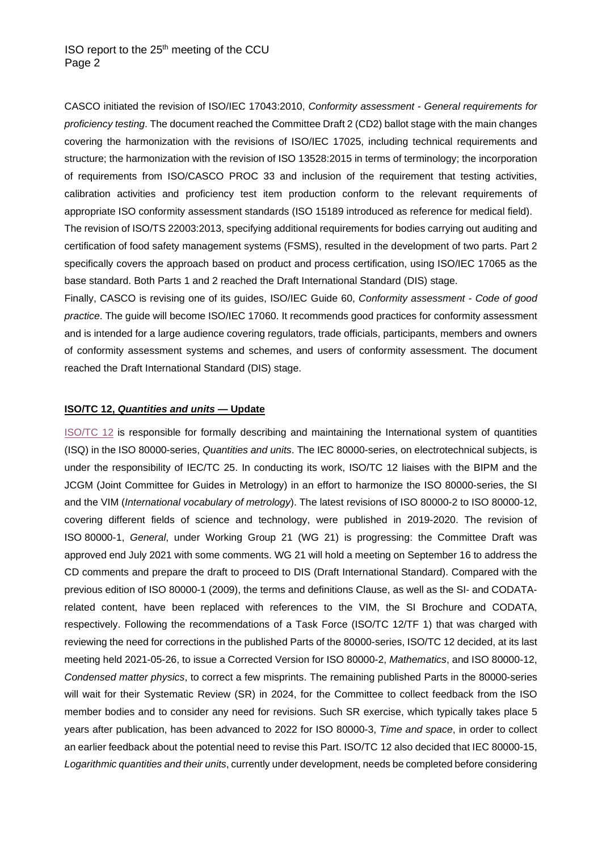CASCO initiated the revision of ISO/IEC 17043:2010, *Conformity assessment - General requirements for proficiency testing*. The document reached the Committee Draft 2 (CD2) ballot stage with the main changes covering the harmonization with the revisions of ISO/IEC 17025, including technical requirements and structure; the harmonization with the revision of ISO 13528:2015 in terms of terminology; the incorporation of requirements from ISO/CASCO PROC 33 and inclusion of the requirement that testing activities, calibration activities and proficiency test item production conform to the relevant requirements of appropriate ISO conformity assessment standards (ISO 15189 introduced as reference for medical field). The revision of ISO/TS 22003:2013, specifying additional requirements for bodies carrying out auditing and certification of food safety management systems (FSMS), resulted in the development of two parts. Part 2 specifically covers the approach based on product and process certification, using ISO/IEC 17065 as the base standard. Both Parts 1 and 2 reached the Draft International Standard (DIS) stage.

Finally, CASCO is revising one of its guides, ISO/IEC Guide 60, *Conformity assessment - Code of good practice*. The guide will become ISO/IEC 17060. It recommends good practices for conformity assessment and is intended for a large audience covering regulators, trade officials, participants, members and owners of conformity assessment systems and schemes, and users of conformity assessment. The document reached the Draft International Standard (DIS) stage.

#### **ISO/TC 12,** *Quantities and units* **— Update**

[ISO/TC 12](https://www.iso.org/committee/46202.html) is responsible for formally describing and maintaining the International system of quantities (ISQ) in the ISO 80000-series, *Quantities and units*. The IEC 80000-series, on electrotechnical subjects, is under the responsibility of IEC/TC 25. In conducting its work, ISO/TC 12 liaises with the BIPM and the JCGM (Joint Committee for Guides in Metrology) in an effort to harmonize the ISO 80000-series, the SI and the VIM (*International vocabulary of metrology*). The latest revisions of ISO 80000-2 to ISO 80000-12, covering different fields of science and technology, were published in 2019-2020. The revision of ISO 80000-1, *General*, under Working Group 21 (WG 21) is progressing: the Committee Draft was approved end July 2021 with some comments. WG 21 will hold a meeting on September 16 to address the CD comments and prepare the draft to proceed to DIS (Draft International Standard). Compared with the previous edition of ISO 80000-1 (2009), the terms and definitions Clause, as well as the SI- and CODATArelated content, have been replaced with references to the VIM, the SI Brochure and CODATA, respectively. Following the recommendations of a Task Force (ISO/TC 12/TF 1) that was charged with reviewing the need for corrections in the published Parts of the 80000-series, ISO/TC 12 decided, at its last meeting held 2021-05-26, to issue a Corrected Version for ISO 80000-2, *Mathematics*, and ISO 80000-12, *Condensed matter physics*, to correct a few misprints. The remaining published Parts in the 80000-series will wait for their Systematic Review (SR) in 2024, for the Committee to collect feedback from the ISO member bodies and to consider any need for revisions. Such SR exercise, which typically takes place 5 years after publication, has been advanced to 2022 for ISO 80000-3, *Time and space*, in order to collect an earlier feedback about the potential need to revise this Part. ISO/TC 12 also decided that IEC 80000-15, *Logarithmic quantities and their units*, currently under development, needs be completed before considering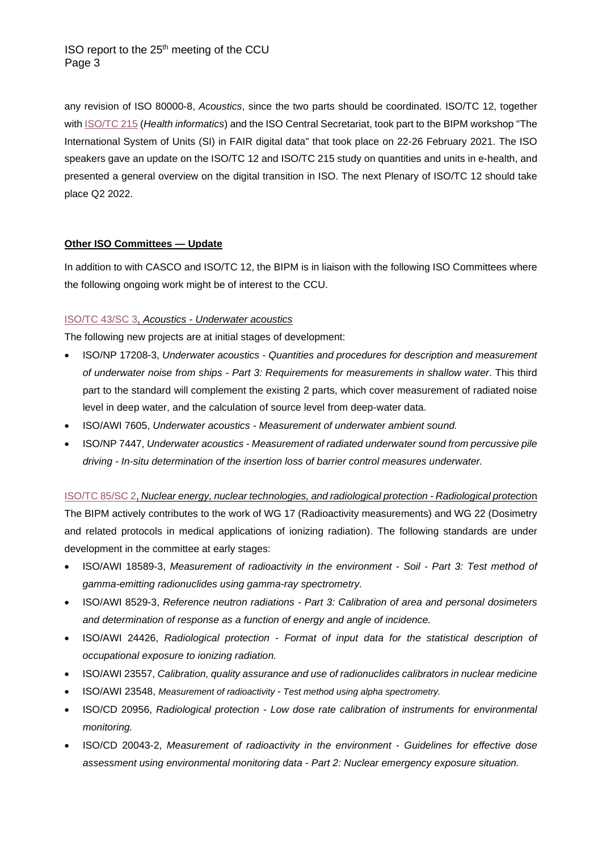ISO report to the 25<sup>th</sup> meeting of the CCU Page 3

any revision of ISO 80000-8, *Acoustics*, since the two parts should be coordinated. ISO/TC 12, together with [ISO/TC 215](https://www.iso.org/committee/54960.html) (*Health informatics*) and the ISO Central Secretariat, took part to the BIPM workshop "The International System of Units (SI) in FAIR digital data" that took place on 22-26 February 2021. The ISO speakers gave an update on the ISO/TC 12 and ISO/TC 215 study on quantities and units in e-health, and presented a general overview on the digital transition in ISO. The next Plenary of ISO/TC 12 should take place Q2 2022.

### **Other ISO Committees — Update**

In addition to with CASCO and ISO/TC 12, the BIPM is in liaison with the following ISO Committees where the following ongoing work might be of interest to the CCU.

### [ISO/TC 43/SC 3,](https://www.iso.org/committee/653046.html) *Acoustics - Underwater acoustics*

The following new projects are at initial stages of development:

- [ISO/NP 17208-3,](https://eur01.safelinks.protection.outlook.com/?url=https%3A%2F%2Fsd.iso.org%2Fprojects%2Fproject%2F81321%2Foverview&data=04%7C01%7CFERRES%40iso.org%7C635e679ea0924982add808d96df59aad%7C8543418a200d4d6b88c979fb0b651354%7C0%7C0%7C637661723886237095%7CUnknown%7CTWFpbGZsb3d8eyJWIjoiMC4wLjAwMDAiLCJQIjoiV2luMzIiLCJBTiI6Ik1haWwiLCJXVCI6Mn0%3D%7C1000&sdata=K8ObxtPrqG2dMlQM%2B6W6Ct6Ke14AlWv%2FYQPhkVydKM0%3D&reserved=0) *Underwater acoustics - Quantities and procedures for description and measurement of underwater noise from ships - Part 3: Requirements for measurements in shallow water*. This third part to the standard will complement the existing 2 parts, which cover measurement of radiated noise level in deep water, and the calculation of source level from deep-water data.
- ISO/AWI 7605, *Underwater acoustics - Measurement of underwater ambient sound.*
- [ISO/NP](https://eur01.safelinks.protection.outlook.com/?url=https%3A%2F%2Fsd.iso.org%2Fprojects%2Fproject%2F83266%2Foverview&data=04%7C01%7CFERRES%40iso.org%7C635e679ea0924982add808d96df59aad%7C8543418a200d4d6b88c979fb0b651354%7C0%7C0%7C637661723886247086%7CUnknown%7CTWFpbGZsb3d8eyJWIjoiMC4wLjAwMDAiLCJQIjoiV2luMzIiLCJBTiI6Ik1haWwiLCJXVCI6Mn0%3D%7C1000&sdata=6pXX3rWqAaOHNz7Zq6PGKAo8SvzLCK7XV3deHx247hU%3D&reserved=0) 7447, *Underwater acoustics - Measurement of radiated underwater sound from percussive pile driving - In-situ determination of the insertion loss of barrier control measures underwater.*

[ISO/TC 85/SC 2,](https://www.iso.org/committee/50280.html) *Nuclear energy, nuclear technologies, and radiological protection - Radiological protectio*n The BIPM actively contributes to the work of WG 17 (Radioactivity measurements) and WG 22 (Dosimetry and related protocols in medical applications of ionizing radiation). The following standards are under development in the committee at early stages:

- ISO/AWI 18589-3, *Measurement of radioactivity in the environment - Soil - Part 3: Test method of gamma-emitting radionuclides using gamma-ray spectrometry.*
- ISO/AWI 8529-3, *Reference neutron radiations - Part 3: Calibration of area and personal dosimeters and determination of response as a function of energy and angle of incidence.*
- ISO/AWI 24426, *Radiological protection - Format of input data for the statistical description of occupational exposure to ionizing radiation.*
- ISO/AWI 23557, *Calibration, quality assurance and use of radionuclides calibrators in nuclear medicine*
- ISO/AWI 23548, *Measurement of radioactivity - Test method using alpha spectrometry.*
- ISO/CD 20956, *Radiological protection - Low dose rate calibration of instruments for environmental monitoring.*
- ISO/CD 20043-2, *Measurement of radioactivity in the environment - Guidelines for effective dose assessment using environmental monitoring data - Part 2: Nuclear emergency exposure situation.*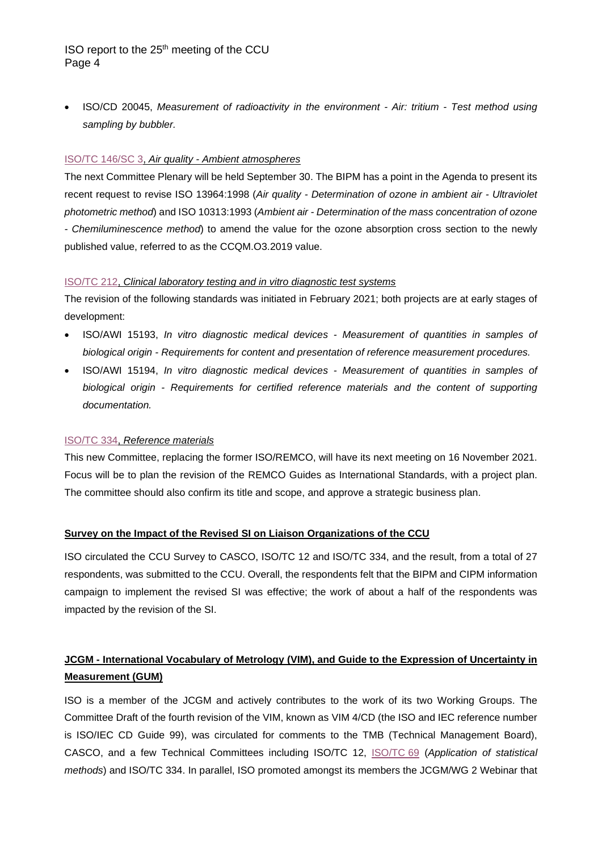## ISO report to the 25<sup>th</sup> meeting of the CCU Page 4

• ISO/CD 20045, *Measurement of radioactivity in the environment - Air: tritium - Test method using sampling by bubbler.*

### [ISO/TC 146/SC 3,](https://www.iso.org/committee/52750.html) *Air quality - Ambient atmospheres*

The next Committee Plenary will be held September 30. The BIPM has a point in the Agenda to present its recent request to revise ISO 13964:1998 (*Air quality - Determination of ozone in ambient air - Ultraviolet photometric method*) and ISO 10313:1993 (*Ambient air - Determination of the mass concentration of ozone - Chemiluminescence method*) to amend the value for the ozone absorption cross section to the newly published value, referred to as the CCQM.O3.2019 value.

### [ISO/TC 212,](https://www.iso.org/committee/54916.html) *Clinical laboratory testing and in vitro diagnostic test systems*

The revision of the following standards was initiated in February 2021; both projects are at early stages of development:

- ISO/AWI 15193, *In vitro diagnostic medical devices - Measurement of quantities in samples of biological origin - Requirements for content and presentation of reference measurement procedures.*
- ISO/AWI 15194, *In vitro diagnostic medical devices - Measurement of quantities in samples of biological origin - Requirements for certified reference materials and the content of supporting documentation.*

### [ISO/TC 334,](https://www.iso.org/committee/8300629.html) *Reference materials*

This new Committee, replacing the former ISO/REMCO, will have its next meeting on 16 November 2021. Focus will be to plan the revision of the REMCO Guides as International Standards, with a project plan. The committee should also confirm its title and scope, and approve a strategic business plan.

### **Survey on the Impact of the Revised SI on Liaison Organizations of the CCU**

ISO circulated the CCU Survey to CASCO, ISO/TC 12 and ISO/TC 334, and the result, from a total of 27 respondents, was submitted to the CCU. Overall, the respondents felt that the BIPM and CIPM information campaign to implement the revised SI was effective; the work of about a half of the respondents was impacted by the revision of the SI.

# **JCGM - International Vocabulary of Metrology (VIM), and Guide to the Expression of Uncertainty in Measurement (GUM)**

ISO is a member of the JCGM and actively contributes to the work of its two Working Groups. The Committee Draft of the fourth revision of the VIM, known as VIM 4/CD (the ISO and IEC reference number is ISO/IEC CD Guide 99), was circulated for comments to the TMB (Technical Management Board), CASCO, and a few Technical Committees including ISO/TC 12, [ISO/TC](https://www.iso.org/committee/49742.html) 69 (*Application of statistical methods*) and ISO/TC 334. In parallel, ISO promoted amongst its members the JCGM/WG 2 Webinar that